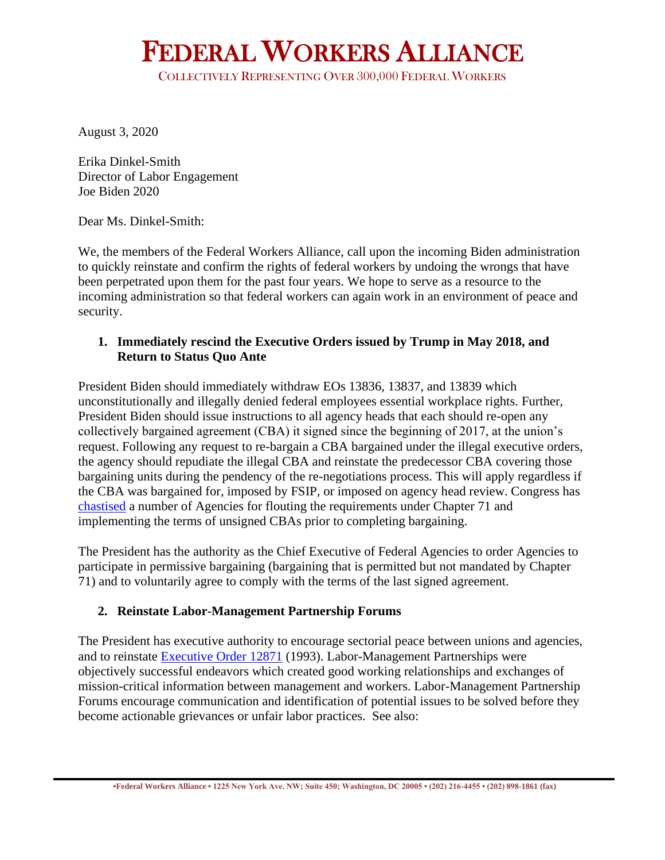# FEDERAL WORKERS ALLIANCE

COLLECTIVELY REPRESENTING OVER 300,000 FEDERAL WORKERS

August 3, 2020

Erika Dinkel-Smith Director of Labor Engagement Joe Biden 2020

Dear Ms. Dinkel-Smith:

We, the members of the Federal Workers Alliance, call upon the incoming Biden administration to quickly reinstate and confirm the rights of federal workers by undoing the wrongs that have been perpetrated upon them for the past four years. We hope to serve as a resource to the incoming administration so that federal workers can again work in an environment of peace and security.

#### **1. Immediately rescind the Executive Orders issued by Trump in May 2018, and Return to Status Quo Ante**

President Biden should immediately withdraw EOs 13836, 13837, and 13839 which unconstitutionally and illegally denied federal employees essential workplace rights. Further, President Biden should issue instructions to all agency heads that each should re-open any collectively bargained agreement (CBA) it signed since the beginning of 2017, at the union's request. Following any request to re-bargain a CBA bargained under the illegal executive orders, the agency should repudiate the illegal CBA and reinstate the predecessor CBA covering those bargaining units during the pendency of the re-negotiations process. This will apply regardless if the CBA was bargained for, imposed by FSIP, or imposed on agency head review. Congress has [chastised](https://www.help.senate.gov/imo/media/doc/180920%20ED%20Collective%20Bargaining%20Agreement.pdf) a number of Agencies for flouting the requirements under Chapter 71 and implementing the terms of unsigned CBAs prior to completing bargaining.

The President has the authority as the Chief Executive of Federal Agencies to order Agencies to participate in permissive bargaining (bargaining that is permitted but not mandated by Chapter 71) and to voluntarily agree to comply with the terms of the last signed agreement.

# **2. Reinstate Labor-Management Partnership Forums**

The President has executive authority to encourage sectorial peace between unions and agencies, and to reinstate [Executive Order 12871](https://www.archives.gov/files/federal-register/executive-orders/pdf/12871.pdf) (1993). Labor-Management Partnerships were objectively successful endeavors which created good working relationships and exchanges of mission-critical information between management and workers. Labor-Management Partnership Forums encourage communication and identification of potential issues to be solved before they become actionable grievances or unfair labor practices. See also: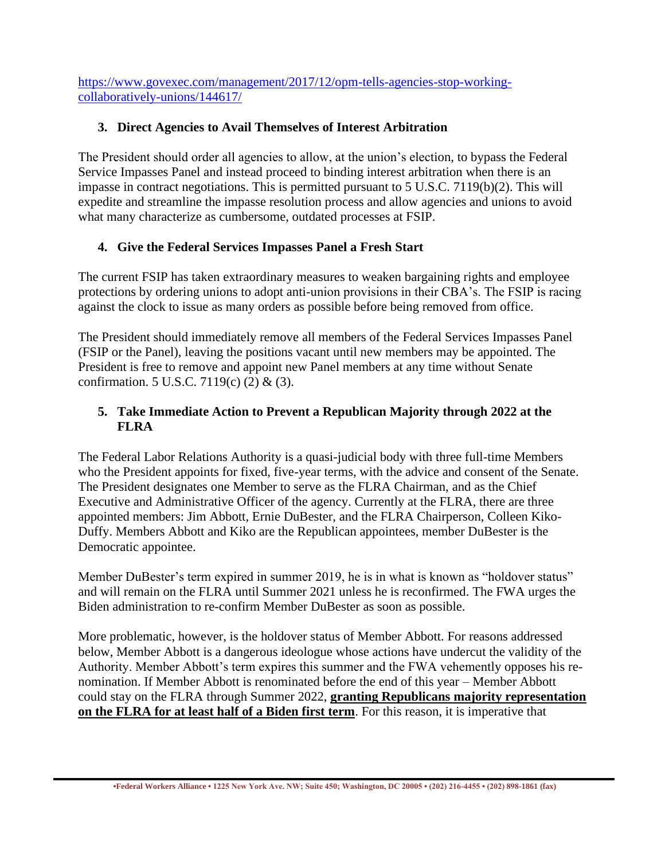[https://www.govexec.com/management/2017/12/opm-tells-agencies-stop-working](https://www.govexec.com/management/2017/12/opm-tells-agencies-stop-working-collaboratively-unions/144617/)[collaboratively-unions/144617/](https://www.govexec.com/management/2017/12/opm-tells-agencies-stop-working-collaboratively-unions/144617/)

### **3. Direct Agencies to Avail Themselves of Interest Arbitration**

The President should order all agencies to allow, at the union's election, to bypass the Federal Service Impasses Panel and instead proceed to binding interest arbitration when there is an impasse in contract negotiations. This is permitted pursuant to 5 U.S.C. 7119(b)(2). This will expedite and streamline the impasse resolution process and allow agencies and unions to avoid what many characterize as cumbersome, outdated processes at FSIP.

### **4. Give the Federal Services Impasses Panel a Fresh Start**

The current FSIP has taken extraordinary measures to weaken bargaining rights and employee protections by ordering unions to adopt anti-union provisions in their CBA's. The FSIP is racing against the clock to issue as many orders as possible before being removed from office.

The President should immediately remove all members of the Federal Services Impasses Panel (FSIP or the Panel), leaving the positions vacant until new members may be appointed. The President is free to remove and appoint new Panel members at any time without Senate confirmation. 5 U.S.C. 7119(c) (2) & (3).

#### **5. Take Immediate Action to Prevent a Republican Majority through 2022 at the FLRA**

The Federal Labor Relations Authority is a quasi-judicial body with three full-time Members who the President appoints for fixed, five-year terms, with the advice and consent of the Senate. The President designates one Member to serve as the FLRA Chairman, and as the Chief Executive and Administrative Officer of the agency. Currently at the FLRA, there are three appointed members: Jim Abbott, Ernie DuBester, and the FLRA Chairperson, Colleen Kiko-Duffy. Members Abbott and Kiko are the Republican appointees, member DuBester is the Democratic appointee.

Member DuBester's term expired in summer 2019, he is in what is known as "holdover status" and will remain on the FLRA until Summer 2021 unless he is reconfirmed. The FWA urges the Biden administration to re-confirm Member DuBester as soon as possible.

More problematic, however, is the holdover status of Member Abbott. For reasons addressed below, Member Abbott is a dangerous ideologue whose actions have undercut the validity of the Authority. Member Abbott's term expires this summer and the FWA vehemently opposes his renomination. If Member Abbott is renominated before the end of this year – Member Abbott could stay on the FLRA through Summer 2022, **granting Republicans majority representation on the FLRA for at least half of a Biden first term**. For this reason, it is imperative that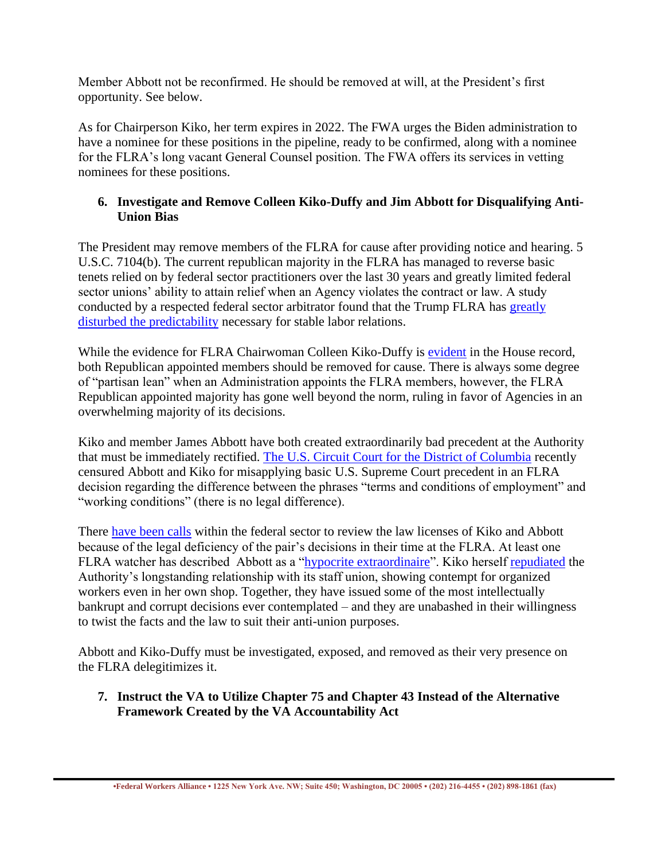Member Abbott not be reconfirmed. He should be removed at will, at the President's first opportunity. See below.

As for Chairperson Kiko, her term expires in 2022. The FWA urges the Biden administration to have a nominee for these positions in the pipeline, ready to be confirmed, along with a nominee for the FLRA's long vacant General Counsel position. The FWA offers its services in vetting nominees for these positions.

### **6. Investigate and Remove Colleen Kiko-Duffy and Jim Abbott for Disqualifying Anti-Union Bias**

The President may remove members of the FLRA for cause after providing notice and hearing. 5 U.S.C. 7104(b). The current republican majority in the FLRA has managed to reverse basic tenets relied on by federal sector practitioners over the last 30 years and greatly limited federal sector unions' ability to attain relief when an Agency violates the contract or law. A study conducted by a respected federal sector arbitrator found that the Trump FLRA has [greatly](https://cdn.govexec.com/media/gbc/docs/pdfs_edit/060619ew1.pdf)  [disturbed the predictability](https://cdn.govexec.com/media/gbc/docs/pdfs_edit/060619ew1.pdf) necessary for stable labor relations.

While the evidence for FLRA Chairwoman Colleen Kiko-Duffy is [evident](https://fcw.com/articles/2019/06/05/flra-house-oversight-union.aspx) in the House record, both Republican appointed members should be removed for cause. There is always some degree of "partisan lean" when an Administration appoints the FLRA members, however, the FLRA Republican appointed majority has gone well beyond the norm, ruling in favor of Agencies in an overwhelming majority of its decisions.

Kiko and member James Abbott have both created extraordinarily bad precedent at the Authority that must be immediately rectified. [The U.S. Circuit Court for the District of Columbia](https://www.govexec.com/management/2020/06/appeals-court-strikes-down-labor-authority-decision-limited-scope-federal-union-bargaining/166030/) recently censured Abbott and Kiko for misapplying basic U.S. Supreme Court precedent in an FLRA decision regarding the difference between the phrases "terms and conditions of employment" and "working conditions" (there is no legal difference).

There [have been calls](https://fedsmill.com/barcharge7565-2) within the federal sector to review the law licenses of Kiko and Abbott because of the legal deficiency of the pair's decisions in their time at the FLRA. At least one FLRA watcher has described Abbott as a ["hypocrite extraordinaire"](https://fedsmill.com/7411-2#more-7411). Kiko herself [repudiated](https://www.federaltimes.com/management/2019/06/05/was-flras-union-removal-biased-or-legally-necessary/) the Authority's longstanding relationship with its staff union, showing contempt for organized workers even in her own shop. Together, they have issued some of the most intellectually bankrupt and corrupt decisions ever contemplated – and they are unabashed in their willingness to twist the facts and the law to suit their anti-union purposes.

Abbott and Kiko-Duffy must be investigated, exposed, and removed as their very presence on the FLRA delegitimizes it.

#### **7. Instruct the VA to Utilize Chapter 75 and Chapter 43 Instead of the Alternative Framework Created by the VA Accountability Act**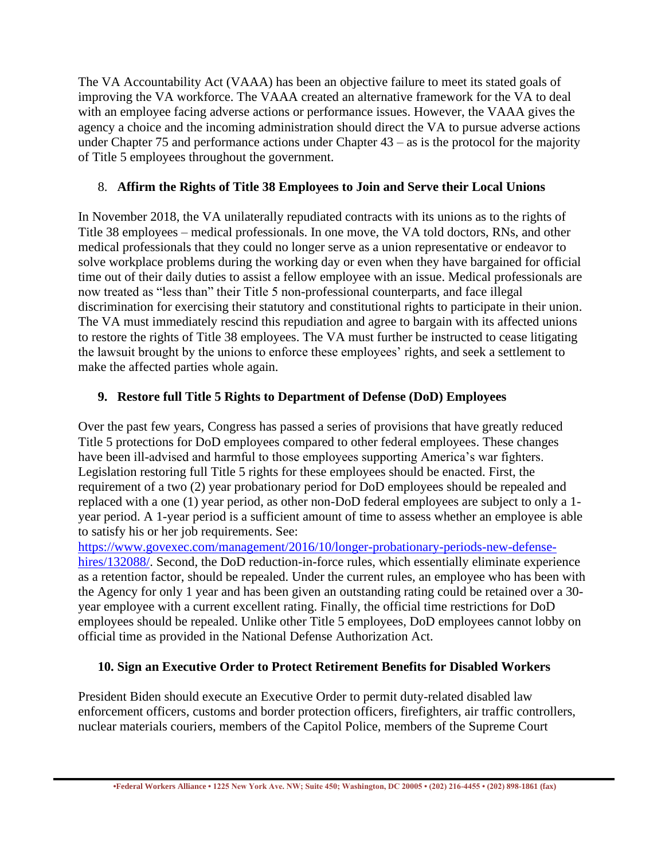The VA Accountability Act (VAAA) has been an objective failure to meet its stated goals of improving the VA workforce. The VAAA created an alternative framework for the VA to deal with an employee facing adverse actions or performance issues. However, the VAAA gives the agency a choice and the incoming administration should direct the VA to pursue adverse actions under Chapter 75 and performance actions under Chapter  $43 - as$  is the protocol for the majority of Title 5 employees throughout the government.

#### 8. **Affirm the Rights of Title 38 Employees to Join and Serve their Local Unions**

In November 2018, the VA unilaterally repudiated contracts with its unions as to the rights of Title 38 employees – medical professionals. In one move, the VA told doctors, RNs, and other medical professionals that they could no longer serve as a union representative or endeavor to solve workplace problems during the working day or even when they have bargained for official time out of their daily duties to assist a fellow employee with an issue. Medical professionals are now treated as "less than" their Title 5 non-professional counterparts, and face illegal discrimination for exercising their statutory and constitutional rights to participate in their union. The VA must immediately rescind this repudiation and agree to bargain with its affected unions to restore the rights of Title 38 employees. The VA must further be instructed to cease litigating the lawsuit brought by the unions to enforce these employees' rights, and seek a settlement to make the affected parties whole again.

# **9. Restore full Title 5 Rights to Department of Defense (DoD) Employees**

Over the past few years, Congress has passed a series of provisions that have greatly reduced Title 5 protections for DoD employees compared to other federal employees. These changes have been ill-advised and harmful to those employees supporting America's war fighters. Legislation restoring full Title 5 rights for these employees should be enacted. First, the requirement of a two (2) year probationary period for DoD employees should be repealed and replaced with a one (1) year period, as other non-DoD federal employees are subject to only a 1 year period. A 1-year period is a sufficient amount of time to assess whether an employee is able to satisfy his or her job requirements. See:

[https://www.govexec.com/management/2016/10/longer-probationary-periods-new-defense](https://www.govexec.com/management/2016/10/longer-probationary-periods-new-defense-hires/132088/)[hires/132088/.](https://www.govexec.com/management/2016/10/longer-probationary-periods-new-defense-hires/132088/) Second, the DoD reduction-in-force rules, which essentially eliminate experience as a retention factor, should be repealed. Under the current rules, an employee who has been with the Agency for only 1 year and has been given an outstanding rating could be retained over a 30 year employee with a current excellent rating. Finally, the official time restrictions for DoD employees should be repealed. Unlike other Title 5 employees, DoD employees cannot lobby on official time as provided in the National Defense Authorization Act.

#### **10. Sign an Executive Order to Protect Retirement Benefits for Disabled Workers**

President Biden should execute an Executive Order to permit duty-related disabled law enforcement officers, customs and border protection officers, firefighters, air traffic controllers, nuclear materials couriers, members of the Capitol Police, members of the Supreme Court